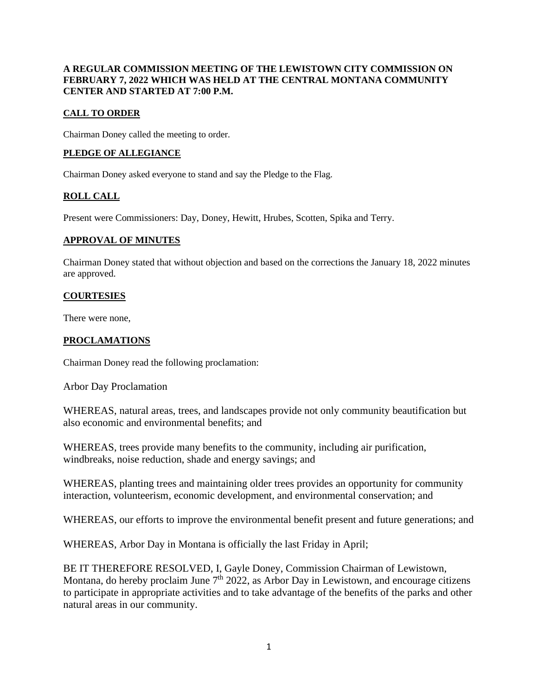### **A REGULAR COMMISSION MEETING OF THE LEWISTOWN CITY COMMISSION ON FEBRUARY 7, 2022 WHICH WAS HELD AT THE CENTRAL MONTANA COMMUNITY CENTER AND STARTED AT 7:00 P.M.**

## **CALL TO ORDER**

Chairman Doney called the meeting to order.

### **PLEDGE OF ALLEGIANCE**

Chairman Doney asked everyone to stand and say the Pledge to the Flag.

# **ROLL CALL**

Present were Commissioners: Day, Doney, Hewitt, Hrubes, Scotten, Spika and Terry.

### **APPROVAL OF MINUTES**

Chairman Doney stated that without objection and based on the corrections the January 18, 2022 minutes are approved.

### **COURTESIES**

There were none,

### **PROCLAMATIONS**

Chairman Doney read the following proclamation:

Arbor Day Proclamation

WHEREAS, natural areas, trees, and landscapes provide not only community beautification but also economic and environmental benefits; and

WHEREAS, trees provide many benefits to the community, including air purification, windbreaks, noise reduction, shade and energy savings; and

WHEREAS, planting trees and maintaining older trees provides an opportunity for community interaction, volunteerism, economic development, and environmental conservation; and

WHEREAS, our efforts to improve the environmental benefit present and future generations; and

WHEREAS, Arbor Day in Montana is officially the last Friday in April;

BE IT THEREFORE RESOLVED, I, Gayle Doney, Commission Chairman of Lewistown, Montana, do hereby proclaim June  $7<sup>th</sup> 2022$ , as Arbor Day in Lewistown, and encourage citizens to participate in appropriate activities and to take advantage of the benefits of the parks and other natural areas in our community.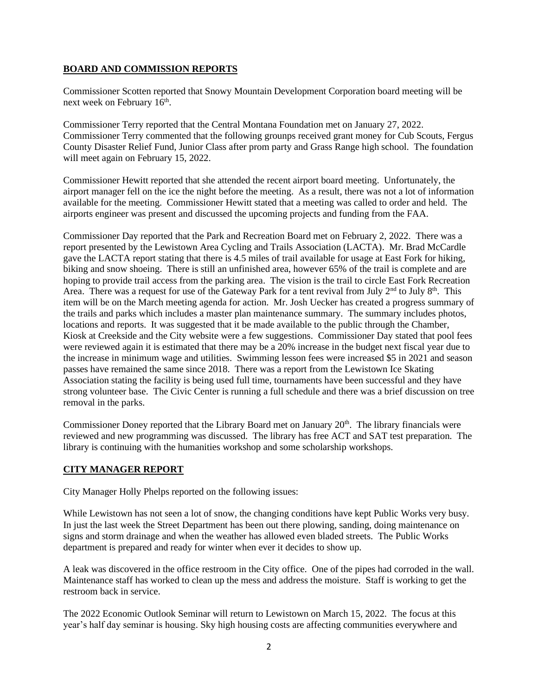### **BOARD AND COMMISSION REPORTS**

Commissioner Scotten reported that Snowy Mountain Development Corporation board meeting will be next week on February 16<sup>th</sup>.

Commissioner Terry reported that the Central Montana Foundation met on January 27, 2022. Commissioner Terry commented that the following grounps received grant money for Cub Scouts, Fergus County Disaster Relief Fund, Junior Class after prom party and Grass Range high school. The foundation will meet again on February 15, 2022.

Commissioner Hewitt reported that she attended the recent airport board meeting. Unfortunately, the airport manager fell on the ice the night before the meeting. As a result, there was not a lot of information available for the meeting. Commissioner Hewitt stated that a meeting was called to order and held. The airports engineer was present and discussed the upcoming projects and funding from the FAA.

Commissioner Day reported that the Park and Recreation Board met on February 2, 2022. There was a report presented by the Lewistown Area Cycling and Trails Association (LACTA). Mr. Brad McCardle gave the LACTA report stating that there is 4.5 miles of trail available for usage at East Fork for hiking, biking and snow shoeing. There is still an unfinished area, however 65% of the trail is complete and are hoping to provide trail access from the parking area. The vision is the trail to circle East Fork Recreation Area. There was a request for use of the Gateway Park for a tent revival from July  $2<sup>nd</sup>$  to July  $8<sup>th</sup>$ . This item will be on the March meeting agenda for action. Mr. Josh Uecker has created a progress summary of the trails and parks which includes a master plan maintenance summary. The summary includes photos, locations and reports. It was suggested that it be made available to the public through the Chamber, Kiosk at Creekside and the City website were a few suggestions. Commissioner Day stated that pool fees were reviewed again it is estimated that there may be a 20% increase in the budget next fiscal year due to the increase in minimum wage and utilities. Swimming lesson fees were increased \$5 in 2021 and season passes have remained the same since 2018. There was a report from the Lewistown Ice Skating Association stating the facility is being used full time, tournaments have been successful and they have strong volunteer base. The Civic Center is running a full schedule and there was a brief discussion on tree removal in the parks.

Commissioner Doney reported that the Library Board met on January 20<sup>th</sup>. The library financials were reviewed and new programming was discussed. The library has free ACT and SAT test preparation. The library is continuing with the humanities workshop and some scholarship workshops.

### **CITY MANAGER REPORT**

City Manager Holly Phelps reported on the following issues:

While Lewistown has not seen a lot of snow, the changing conditions have kept Public Works very busy. In just the last week the Street Department has been out there plowing, sanding, doing maintenance on signs and storm drainage and when the weather has allowed even bladed streets. The Public Works department is prepared and ready for winter when ever it decides to show up.

A leak was discovered in the office restroom in the City office. One of the pipes had corroded in the wall. Maintenance staff has worked to clean up the mess and address the moisture. Staff is working to get the restroom back in service.

The 2022 Economic Outlook Seminar will return to Lewistown on March 15, 2022. The focus at this year's half day seminar is housing. Sky high housing costs are affecting communities everywhere and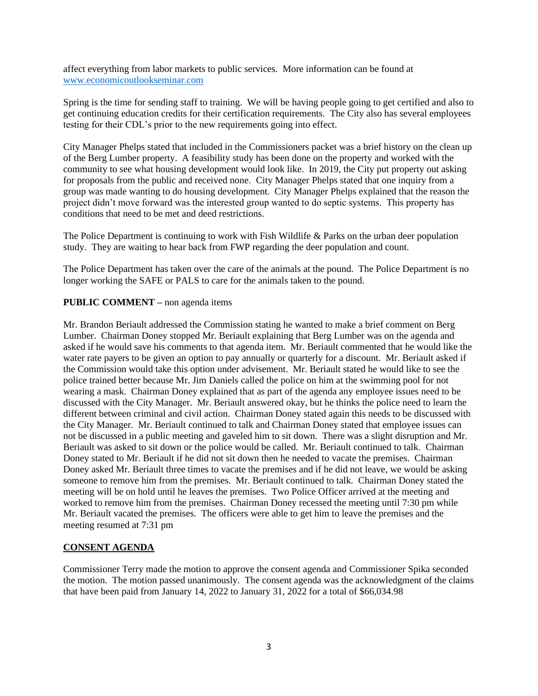affect everything from labor markets to public services. More information can be found at [www.economicoutlookseminar.com](http://www.economicoutlookseminar.com/)

Spring is the time for sending staff to training. We will be having people going to get certified and also to get continuing education credits for their certification requirements. The City also has several employees testing for their CDL's prior to the new requirements going into effect.

City Manager Phelps stated that included in the Commissioners packet was a brief history on the clean up of the Berg Lumber property. A feasibility study has been done on the property and worked with the community to see what housing development would look like. In 2019, the City put property out asking for proposals from the public and received none. City Manager Phelps stated that one inquiry from a group was made wanting to do housing development. City Manager Phelps explained that the reason the project didn't move forward was the interested group wanted to do septic systems. This property has conditions that need to be met and deed restrictions.

The Police Department is continuing to work with Fish Wildlife & Parks on the urban deer population study. They are waiting to hear back from FWP regarding the deer population and count.

The Police Department has taken over the care of the animals at the pound. The Police Department is no longer working the SAFE or PALS to care for the animals taken to the pound.

### **PUBLIC COMMENT –** non agenda items

Mr. Brandon Beriault addressed the Commission stating he wanted to make a brief comment on Berg Lumber. Chairman Doney stopped Mr. Beriault explaining that Berg Lumber was on the agenda and asked if he would save his comments to that agenda item. Mr. Beriault commented that he would like the water rate payers to be given an option to pay annually or quarterly for a discount. Mr. Beriault asked if the Commission would take this option under advisement. Mr. Beriault stated he would like to see the police trained better because Mr. Jim Daniels called the police on him at the swimming pool for not wearing a mask. Chairman Doney explained that as part of the agenda any employee issues need to be discussed with the City Manager. Mr. Beriault answered okay, but he thinks the police need to learn the different between criminal and civil action. Chairman Doney stated again this needs to be discussed with the City Manager. Mr. Beriault continued to talk and Chairman Doney stated that employee issues can not be discussed in a public meeting and gaveled him to sit down. There was a slight disruption and Mr. Beriault was asked to sit down or the police would be called. Mr. Beriault continued to talk. Chairman Doney stated to Mr. Beriault if he did not sit down then he needed to vacate the premises. Chairman Doney asked Mr. Beriault three times to vacate the premises and if he did not leave, we would be asking someone to remove him from the premises. Mr. Beriault continued to talk. Chairman Doney stated the meeting will be on hold until he leaves the premises. Two Police Officer arrived at the meeting and worked to remove him from the premises. Chairman Doney recessed the meeting until 7:30 pm while Mr. Beriault vacated the premises. The officers were able to get him to leave the premises and the meeting resumed at 7:31 pm

### **CONSENT AGENDA**

Commissioner Terry made the motion to approve the consent agenda and Commissioner Spika seconded the motion. The motion passed unanimously. The consent agenda was the acknowledgment of the claims that have been paid from January 14, 2022 to January 31, 2022 for a total of \$66,034.98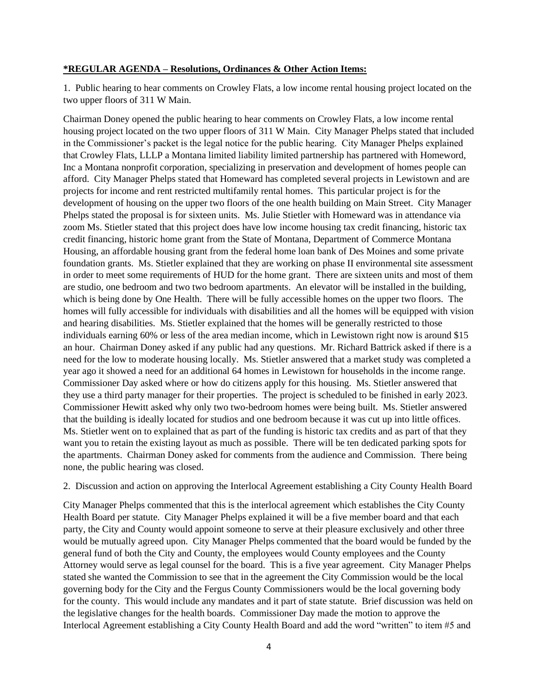#### **\*REGULAR AGENDA – Resolutions, Ordinances & Other Action Items:**

1. Public hearing to hear comments on Crowley Flats, a low income rental housing project located on the two upper floors of 311 W Main.

Chairman Doney opened the public hearing to hear comments on Crowley Flats, a low income rental housing project located on the two upper floors of 311 W Main. City Manager Phelps stated that included in the Commissioner's packet is the legal notice for the public hearing. City Manager Phelps explained that Crowley Flats, LLLP a Montana limited liability limited partnership has partnered with Homeword, Inc a Montana nonprofit corporation, specializing in preservation and development of homes people can afford. City Manager Phelps stated that Homeward has completed several projects in Lewistown and are projects for income and rent restricted multifamily rental homes. This particular project is for the development of housing on the upper two floors of the one health building on Main Street. City Manager Phelps stated the proposal is for sixteen units. Ms. Julie Stietler with Homeward was in attendance via zoom Ms. Stietler stated that this project does have low income housing tax credit financing, historic tax credit financing, historic home grant from the State of Montana, Department of Commerce Montana Housing, an affordable housing grant from the federal home loan bank of Des Moines and some private foundation grants. Ms. Stietler explained that they are working on phase II environmental site assessment in order to meet some requirements of HUD for the home grant. There are sixteen units and most of them are studio, one bedroom and two two bedroom apartments. An elevator will be installed in the building, which is being done by One Health. There will be fully accessible homes on the upper two floors. The homes will fully accessible for individuals with disabilities and all the homes will be equipped with vision and hearing disabilities. Ms. Stietler explained that the homes will be generally restricted to those individuals earning 60% or less of the area median income, which in Lewistown right now is around \$15 an hour. Chairman Doney asked if any public had any questions. Mr. Richard Battrick asked if there is a need for the low to moderate housing locally. Ms. Stietler answered that a market study was completed a year ago it showed a need for an additional 64 homes in Lewistown for households in the income range. Commissioner Day asked where or how do citizens apply for this housing. Ms. Stietler answered that they use a third party manager for their properties. The project is scheduled to be finished in early 2023. Commissioner Hewitt asked why only two two-bedroom homes were being built. Ms. Stietler answered that the building is ideally located for studios and one bedroom because it was cut up into little offices. Ms. Stietler went on to explained that as part of the funding is historic tax credits and as part of that they want you to retain the existing layout as much as possible. There will be ten dedicated parking spots for the apartments. Chairman Doney asked for comments from the audience and Commission. There being none, the public hearing was closed.

2. Discussion and action on approving the Interlocal Agreement establishing a City County Health Board

City Manager Phelps commented that this is the interlocal agreement which establishes the City County Health Board per statute. City Manager Phelps explained it will be a five member board and that each party, the City and County would appoint someone to serve at their pleasure exclusively and other three would be mutually agreed upon. City Manager Phelps commented that the board would be funded by the general fund of both the City and County, the employees would County employees and the County Attorney would serve as legal counsel for the board. This is a five year agreement. City Manager Phelps stated she wanted the Commission to see that in the agreement the City Commission would be the local governing body for the City and the Fergus County Commissioners would be the local governing body for the county. This would include any mandates and it part of state statute. Brief discussion was held on the legislative changes for the health boards. Commissioner Day made the motion to approve the Interlocal Agreement establishing a City County Health Board and add the word "written" to item #5 and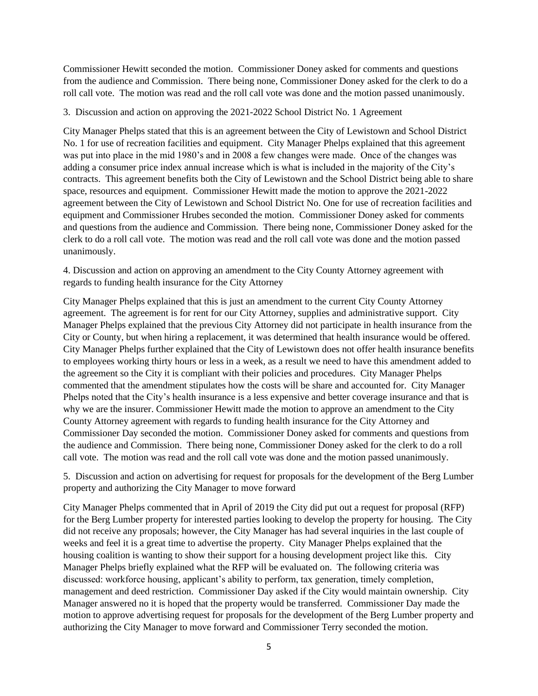Commissioner Hewitt seconded the motion. Commissioner Doney asked for comments and questions from the audience and Commission. There being none, Commissioner Doney asked for the clerk to do a roll call vote. The motion was read and the roll call vote was done and the motion passed unanimously.

3. Discussion and action on approving the 2021-2022 School District No. 1 Agreement

City Manager Phelps stated that this is an agreement between the City of Lewistown and School District No. 1 for use of recreation facilities and equipment. City Manager Phelps explained that this agreement was put into place in the mid 1980's and in 2008 a few changes were made. Once of the changes was adding a consumer price index annual increase which is what is included in the majority of the City's contracts. This agreement benefits both the City of Lewistown and the School District being able to share space, resources and equipment. Commissioner Hewitt made the motion to approve the 2021-2022 agreement between the City of Lewistown and School District No. One for use of recreation facilities and equipment and Commissioner Hrubes seconded the motion. Commissioner Doney asked for comments and questions from the audience and Commission. There being none, Commissioner Doney asked for the clerk to do a roll call vote. The motion was read and the roll call vote was done and the motion passed unanimously.

4. Discussion and action on approving an amendment to the City County Attorney agreement with regards to funding health insurance for the City Attorney

City Manager Phelps explained that this is just an amendment to the current City County Attorney agreement. The agreement is for rent for our City Attorney, supplies and administrative support. City Manager Phelps explained that the previous City Attorney did not participate in health insurance from the City or County, but when hiring a replacement, it was determined that health insurance would be offered. City Manager Phelps further explained that the City of Lewistown does not offer health insurance benefits to employees working thirty hours or less in a week, as a result we need to have this amendment added to the agreement so the City it is compliant with their policies and procedures. City Manager Phelps commented that the amendment stipulates how the costs will be share and accounted for. City Manager Phelps noted that the City's health insurance is a less expensive and better coverage insurance and that is why we are the insurer. Commissioner Hewitt made the motion to approve an amendment to the City County Attorney agreement with regards to funding health insurance for the City Attorney and Commissioner Day seconded the motion. Commissioner Doney asked for comments and questions from the audience and Commission. There being none, Commissioner Doney asked for the clerk to do a roll call vote. The motion was read and the roll call vote was done and the motion passed unanimously.

5. Discussion and action on advertising for request for proposals for the development of the Berg Lumber property and authorizing the City Manager to move forward

City Manager Phelps commented that in April of 2019 the City did put out a request for proposal (RFP) for the Berg Lumber property for interested parties looking to develop the property for housing. The City did not receive any proposals; however, the City Manager has had several inquiries in the last couple of weeks and feel it is a great time to advertise the property. City Manager Phelps explained that the housing coalition is wanting to show their support for a housing development project like this. City Manager Phelps briefly explained what the RFP will be evaluated on. The following criteria was discussed: workforce housing, applicant's ability to perform, tax generation, timely completion, management and deed restriction. Commissioner Day asked if the City would maintain ownership. City Manager answered no it is hoped that the property would be transferred. Commissioner Day made the motion to approve advertising request for proposals for the development of the Berg Lumber property and authorizing the City Manager to move forward and Commissioner Terry seconded the motion.